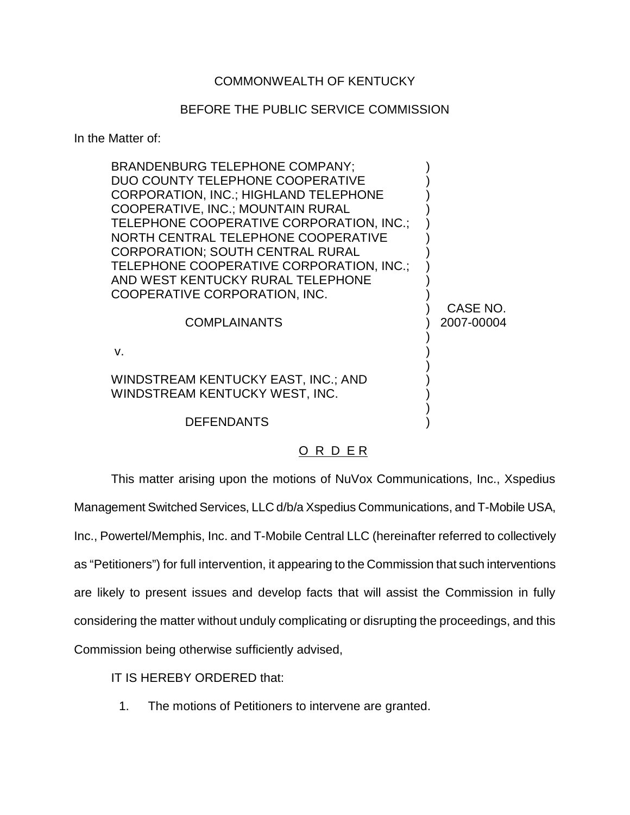## COMMONWEALTH OF KENTUCKY

## BEFORE THE PUBLIC SERVICE COMMISSION

In the Matter of:

| <b>BRANDENBURG TELEPHONE COMPANY:</b><br>DUO COUNTY TELEPHONE COOPERATIVE<br><b>CORPORATION, INC.; HIGHLAND TELEPHONE</b><br>COOPERATIVE, INC.; MOUNTAIN RURAL<br>TELEPHONE COOPERATIVE CORPORATION, INC.;<br>NORTH CENTRAL TELEPHONE COOPERATIVE<br><b>CORPORATION: SOUTH CENTRAL RURAL</b><br>TELEPHONE COOPERATIVE CORPORATION, INC.;<br>AND WEST KENTUCKY RURAL TELEPHONE<br>COOPERATIVE CORPORATION, INC.<br><b>COMPLAINANTS</b> | CASE NO.<br>2007-00004 |
|---------------------------------------------------------------------------------------------------------------------------------------------------------------------------------------------------------------------------------------------------------------------------------------------------------------------------------------------------------------------------------------------------------------------------------------|------------------------|
| $V_{-}$                                                                                                                                                                                                                                                                                                                                                                                                                               |                        |
| WINDSTREAM KENTUCKY EAST, INC.; AND<br>WINDSTREAM KENTUCKY WEST, INC.                                                                                                                                                                                                                                                                                                                                                                 |                        |
| <b>DEFENDANTS</b>                                                                                                                                                                                                                                                                                                                                                                                                                     |                        |

## O R D E R

This matter arising upon the motions of NuVox Communications, Inc., Xspedius Management Switched Services, LLC d/b/a Xspedius Communications, and T-Mobile USA, Inc., Powertel/Memphis, Inc. and T-Mobile Central LLC (hereinafter referred to collectively as "Petitioners") for full intervention, it appearing to the Commission that such interventions are likely to present issues and develop facts that will assist the Commission in fully considering the matter without unduly complicating or disrupting the proceedings, and this Commission being otherwise sufficiently advised,

IT IS HEREBY ORDERED that:

1. The motions of Petitioners to intervene are granted.